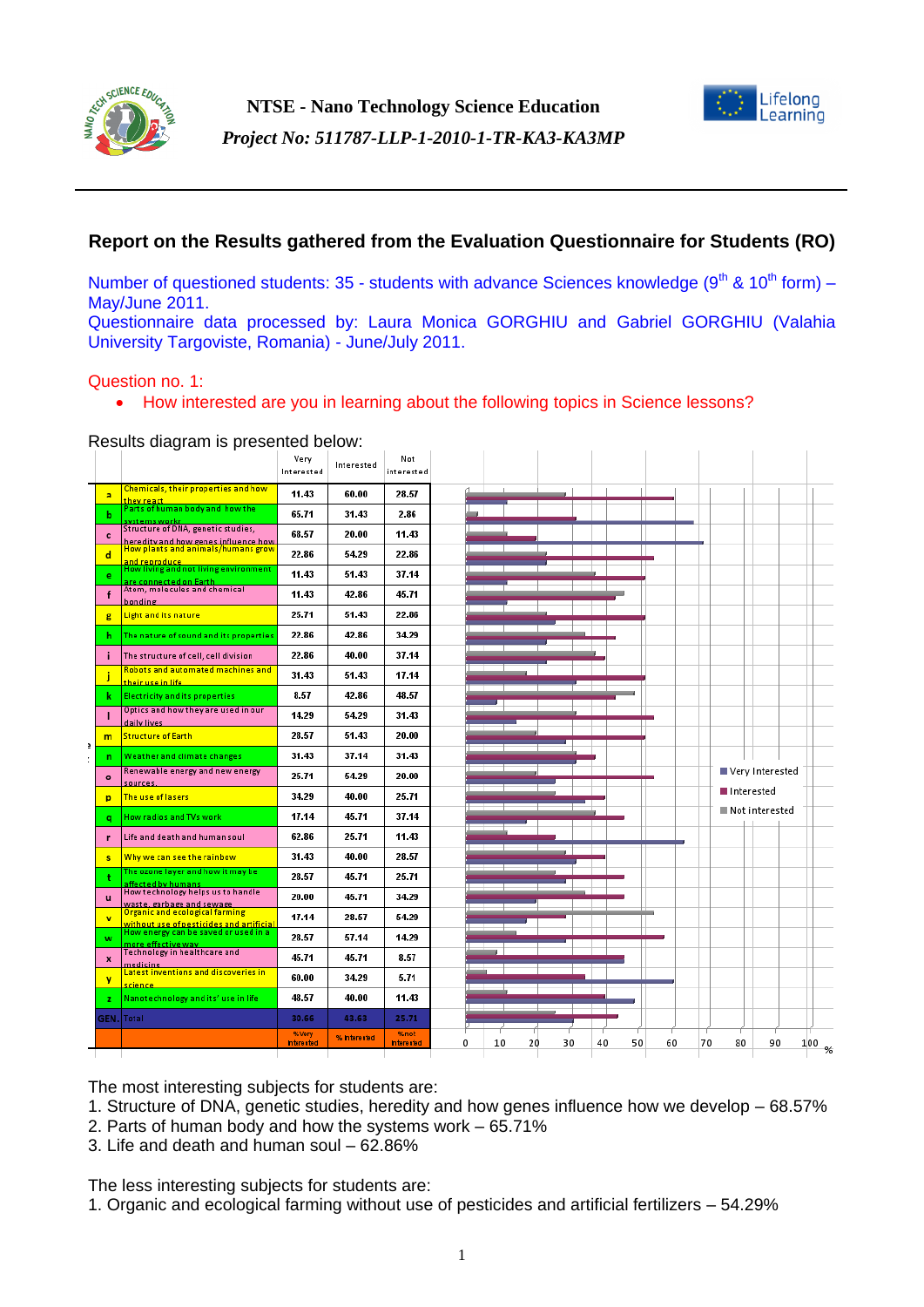

**NTSE - Nano Technology Science Education** *Project No: 511787-LLP-1-2010-1-TR-KA3-KA3MP*



# **Report on the Results gathered from the Evaluation Questionnaire for Students (RO)**

Number of questioned students: 35 - students with advance Sciences knowledge ( $9<sup>th</sup>$  &  $10<sup>th</sup>$  form) – May/June 2011.

Questionnaire data processed by: Laura Monica GORGHIU and Gabriel GORGHIU (Valahia University Targoviste, Romania) - June/July 2011.

#### Question no. 1:

• How interested are you in learning about the following topics in Science lessons?

Results diagram is presented below:

|  |                         |                                                                                               | Very<br>Interested          | Interested   | Not<br>interested         |                                                                                     |  |
|--|-------------------------|-----------------------------------------------------------------------------------------------|-----------------------------|--------------|---------------------------|-------------------------------------------------------------------------------------|--|
|  | a                       | <b>Chemicals, their properties and how</b><br>they react                                      | 11.43                       | 60.00        | 28.57                     |                                                                                     |  |
|  | ь                       | Parts of human body and how the<br>systems workr                                              | 65.71                       | 31.43        | 2.86                      |                                                                                     |  |
|  | c                       | Structure of DNA, genetic studies,                                                            | 68.57                       | 20.00        | 11.43                     |                                                                                     |  |
|  | d                       | heredity and how genes influence how<br>How plants and animals/humans grow                    | 22.86                       | 54.29        | 22.86                     |                                                                                     |  |
|  | e                       | and reproduce<br>How living and not living environment<br>are connected on Earth.             | 11.43                       | 51.43        | 37.14                     |                                                                                     |  |
|  |                         | Atom, molecules and chemical<br>bonding                                                       | 11.43                       | 42.86        | 45.71                     |                                                                                     |  |
|  | g                       | Light and its nature                                                                          | 25.71                       | 51.43        | 22.86                     |                                                                                     |  |
|  | h                       | The nature of sound and its properties                                                        | 22.86                       | 42.86        | 34.29                     |                                                                                     |  |
|  | ÷                       | The structure of cell, cell division                                                          | 22.86                       | 40.00        | 37.14                     |                                                                                     |  |
|  |                         | <b>Robots and automated machines and</b><br>their use in life                                 | 31.43                       | 51.43        | 17.14                     |                                                                                     |  |
|  | k.                      | <b>Electricity and its properties</b>                                                         | 8.57                        | 42.86        | 48.57                     |                                                                                     |  |
|  |                         | Optics and how they are used in our<br>daily lives                                            | 14.29                       | 54.29        | 31.43                     |                                                                                     |  |
|  | m                       | <b>Structure of Earth</b>                                                                     | 28.57                       | 51.43        | 20.00                     |                                                                                     |  |
|  | n                       | Weather and climate changes                                                                   | 31.43                       | 37.14        | 31.43                     |                                                                                     |  |
|  | $\circ$                 | Renewable energy and new energy<br>sources.                                                   | 25.71                       | 54.29        | 20.00                     | Very Interested                                                                     |  |
|  | p                       | The use of lasers                                                                             | 34.29                       | 40.00        | 25.71                     | Interested                                                                          |  |
|  | a                       | How radios and TVs work                                                                       | 17.14                       | 45.71        | 37.14                     | Not interested                                                                      |  |
|  | г                       | Life and death and human soul                                                                 | 62.86                       | 25.71        | 11.43                     |                                                                                     |  |
|  | s                       | Why we can see the rainbow                                                                    | 31.43                       | 40.00        | 28.57                     |                                                                                     |  |
|  |                         | The ozone layer and how it may be<br>affected by humans<br> How technology helps us to handle | 28.57                       | 45.71        | 25.71                     |                                                                                     |  |
|  | u                       | waste, garbage and sewage                                                                     | 20.00                       | 45.71        | 34.29                     |                                                                                     |  |
|  | $\overline{\mathbf{v}}$ | Organic and ecological farming<br>without use of pesticides and artificial                    | 17.14                       | 28.57        | 54.29                     |                                                                                     |  |
|  | w                       | How energy can be saved or used in a<br><u>more effective wav</u>                             | 28.57                       | 57.14        | 14.29                     |                                                                                     |  |
|  | x                       | Technology in healthcare and<br>medicine.                                                     | 45.71                       | 45.71        | 8.57                      |                                                                                     |  |
|  | y                       | Latest inventions and discoveries in<br>science.                                              | 60.00                       | 34.29        | 5.71                      |                                                                                     |  |
|  | z.                      | Nanotechnology and its' use in life                                                           | 48.57                       | 40.00        | 11.43                     |                                                                                     |  |
|  | GEN.                    | Total                                                                                         | 30.66                       | 43.63        | 25.71                     |                                                                                     |  |
|  |                         |                                                                                               | % Very<br><b>Interested</b> | % Interested | %not<br><b>Interested</b> | 10<br>20<br>30<br>50<br>60<br>70<br>$\bf{0}$<br>40<br>80<br>90<br>100 <sub>96</sub> |  |
|  |                         |                                                                                               |                             |              |                           |                                                                                     |  |

The most interesting subjects for students are:

- 1. Structure of DNA, genetic studies, heredity and how genes influence how we develop 68.57%
- 2. Parts of human body and how the systems work 65.71%
- 3. Life and death and human soul 62.86%

The less interesting subjects for students are:

1. Organic and ecological farming without use of pesticides and artificial fertilizers – 54.29%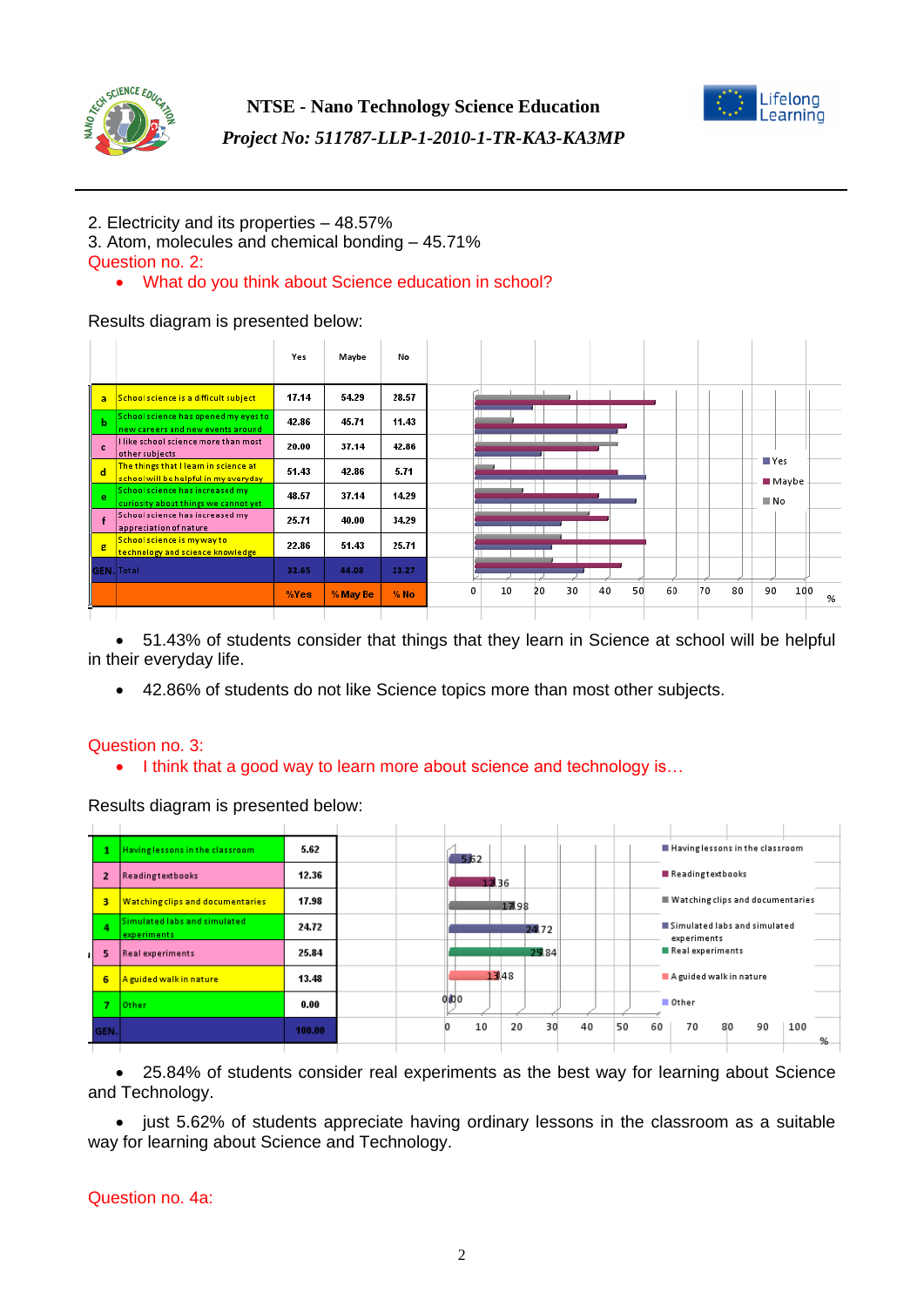



# *Project No: 511787-LLP-1-2010-1-TR-KA3-KA3MP*

# 2. Electricity and its properties – 48.57%

3. Atom, molecules and chemical bonding – 45.71% Question no. 2:

# What do you think about Science education in school?

## Results diagram is presented below:

|              |                                                                                | Yes   | Maybe    | No     |                                                                     |
|--------------|--------------------------------------------------------------------------------|-------|----------|--------|---------------------------------------------------------------------|
| a            | School science is a difficult subject                                          | 17.14 | 54.29    | 28.57  |                                                                     |
| Ъ            | School science has opened my eyes to<br>new careers and new events around      | 42.86 | 45.71    | 11.43  |                                                                     |
| $\mathbf{c}$ | l like school science more than most<br>other subjects                         | 20.00 | 37.14    | 42.86  |                                                                     |
| d            | The things that I learn in science at<br>school will be helpful in my everyday | 51.43 | 42.86    | 5.71   | $\square$ Yes<br>■ Maybe                                            |
| e            | School science has increased my<br>curiosity about things we cannot yet        | 48.57 | 37.14    | 14.29  | N <sub>o</sub>                                                      |
|              | School science has increased my<br>appreciation of nature                      | 25.71 | 40.00    | 34.29  |                                                                     |
| g            | School science is my way to<br>technology and science knowledge                | 22.86 | 51.43    | 25.71  |                                                                     |
|              | <b>GEN.</b> Total                                                              | 32.65 | 44.08    | 23.27  |                                                                     |
|              |                                                                                | %Yes  | % May Be | $%$ No | 30<br>50<br>90<br>10<br>40<br>60<br>70<br>80<br>100<br>0<br>20<br>% |
|              |                                                                                |       |          |        |                                                                     |

 51.43% of students consider that things that they learn in Science at school will be helpful in their everyday life.

42.86% of students do not like Science topics more than most other subjects.

## Question no. 3:

• I think that a good way to learn more about science and technology is...

## Results diagram is presented below:



 25.84% of students consider real experiments as the best way for learning about Science and Technology.

• just 5.62% of students appreciate having ordinary lessons in the classroom as a suitable way for learning about Science and Technology.

## Question no. 4a: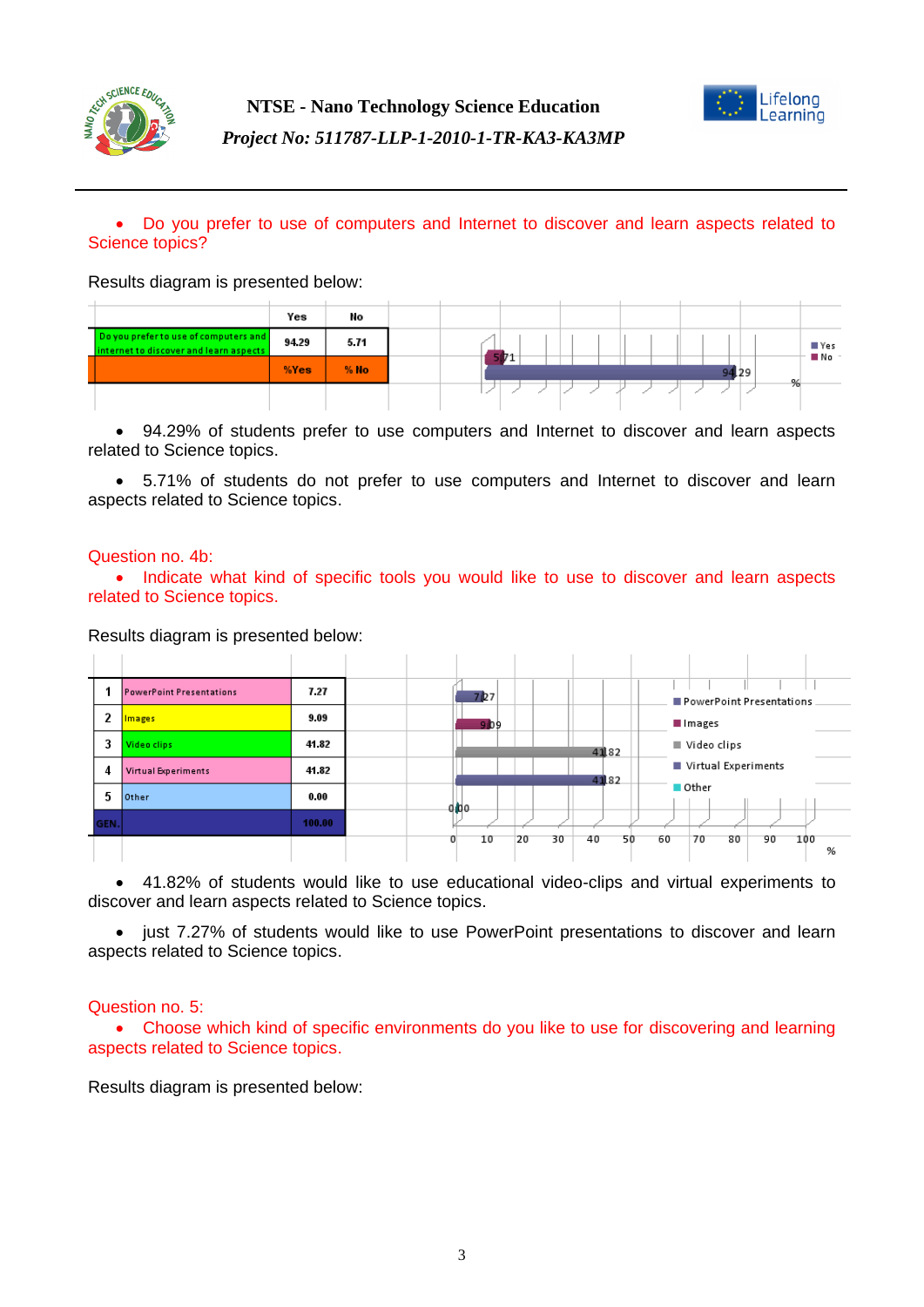



## Do you prefer to use of computers and Internet to discover and learn aspects related to Science topics?

#### Results diagram is presented below:

|                                                                                 | Yes   | No     |  |  |       |   |  |
|---------------------------------------------------------------------------------|-------|--------|--|--|-------|---|--|
| Do you prefer to use of computers and<br>internet to discover and learn aspects | 94.29 | 5.71   |  |  |       |   |  |
|                                                                                 | %Yes  | $%$ No |  |  | 94.29 |   |  |
|                                                                                 |       |        |  |  |       | % |  |

 94.29% of students prefer to use computers and Internet to discover and learn aspects related to Science topics.

 5.71% of students do not prefer to use computers and Internet to discover and learn aspects related to Science topics.

#### Question no. 4b:

• Indicate what kind of specific tools you would like to use to discover and learn aspects related to Science topics.

#### Results diagram is presented below:

|      | <b>PowerPoint Presentations</b> | 7.27   |  | 7 <b>127</b> |          |          |    | PowerPoint Presentations |    |          |
|------|---------------------------------|--------|--|--------------|----------|----------|----|--------------------------|----|----------|
| 2    | Images                          | 9.09   |  | <b>909</b>   |          |          |    | Images                   |    |          |
| 3    | Video clips                     | 41.82  |  |              |          | 4182     |    | Video clips              |    |          |
| 4    | Virtual Experiments             | 41.82  |  |              |          | 4182     |    | Virtual Experiments      |    |          |
| 5    | Other                           | 0.00   |  | a bo         |          |          |    | $\blacksquare$ Other     |    |          |
| GEN. |                                 | 100.00 |  |              |          |          |    |                          |    |          |
|      |                                 |        |  | 10           | 20<br>30 | 40<br>50 | 60 | 70<br>80                 | 90 | 100<br>% |

 41.82% of students would like to use educational video-clips and virtual experiments to discover and learn aspects related to Science topics.

• just 7.27% of students would like to use PowerPoint presentations to discover and learn aspects related to Science topics.

#### Question no. 5:

 Choose which kind of specific environments do you like to use for discovering and learning aspects related to Science topics.

Results diagram is presented below: